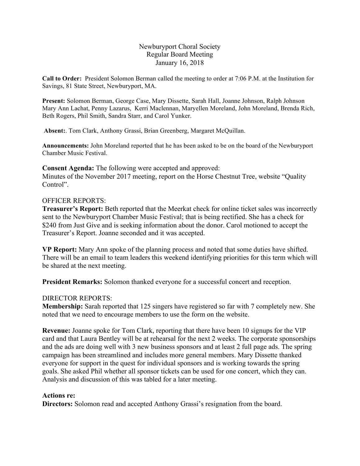## Newburyport Choral Society Regular Board Meeting January 16, 2018

**Call to Order:** President Solomon Berman called the meeting to order at 7:06 P.M. at the Institution for Savings, 81 State Street, Newburyport, MA.

**Present:** Solomon Berman, George Case, Mary Dissette, Sarah Hall, Joanne Johnson, Ralph Johnson Mary Ann Lachat, Penny Lazarus, Kerri Maclennan, Maryellen Moreland, John Moreland, Brenda Rich, Beth Rogers, Phil Smith, Sandra Starr, and Carol Yunker.

**Absent:**. Tom Clark, Anthony Grassi, Brian Greenberg, Margaret McQuillan.

**Announcements:** John Moreland reported that he has been asked to be on the board of the Newburyport Chamber Music Festival.

**Consent Agenda:** The following were accepted and approved: Minutes of the November 2017 meeting, report on the Horse Chestnut Tree, website "Quality Control".

# OFFICER REPORTS:

**Treasurer's Report:** Beth reported that the Meerkat check for online ticket sales was incorrectly sent to the Newburyport Chamber Music Festival; that is being rectified. She has a check for \$240 from Just Give and is seeking information about the donor. Carol motioned to accept the Treasurer's Report. Joanne seconded and it was accepted.

**VP Report:** Mary Ann spoke of the planning process and noted that some duties have shifted. There will be an email to team leaders this weekend identifying priorities for this term which will be shared at the next meeting.

**President Remarks:** Solomon thanked everyone for a successful concert and reception.

# DIRECTOR REPORTS:

**Membership:** Sarah reported that 125 singers have registered so far with 7 completely new. She noted that we need to encourage members to use the form on the website.

**Revenue:** Joanne spoke for Tom Clark, reporting that there have been 10 signups for the VIP card and that Laura Bentley will be at rehearsal for the next 2 weeks. The corporate sponsorships and the ads are doing well with 3 new business sponsors and at least 2 full page ads. The spring campaign has been streamlined and includes more general members. Mary Dissette thanked everyone for support in the quest for individual sponsors and is working towards the spring goals. She asked Phil whether all sponsor tickets can be used for one concert, which they can. Analysis and discussion of this was tabled for a later meeting.

# **Actions re:**

**Directors:** Solomon read and accepted Anthony Grassi's resignation from the board.